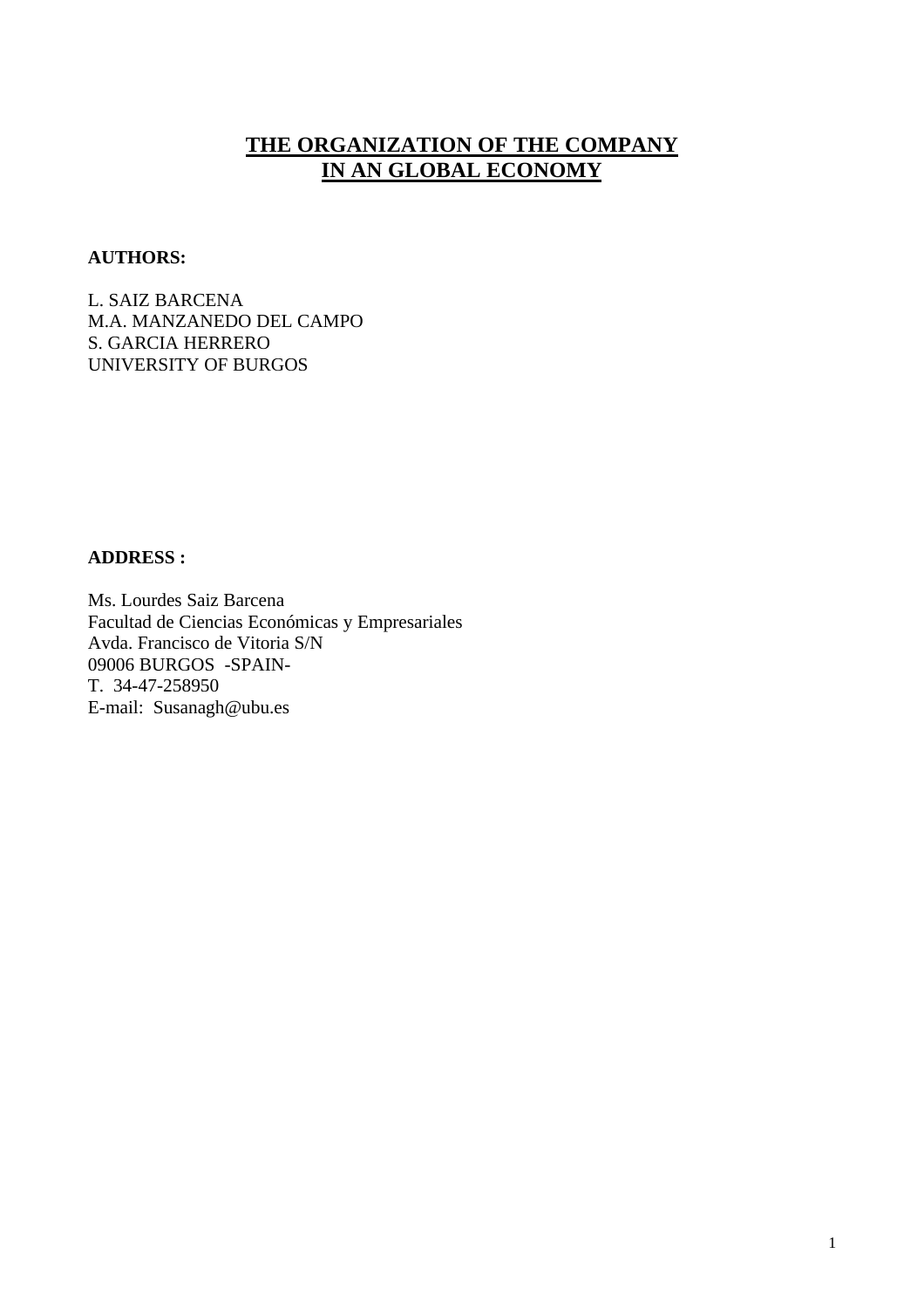# **THE ORGANIZATION OF THE COMPANY IN AN GLOBAL ECONOMY**

#### **AUTHORS:**

L. SAIZ BARCENA M.A. MANZANEDO DEL CAMPO S. GARCIA HERRERO UNIVERSITY OF BURGOS

## **ADDRESS :**

Ms. Lourdes Saiz Barcena Facultad de Ciencias Económicas y Empresariales Avda. Francisco de Vitoria S/N 09006 BURGOS -SPAIN-T. 34-47-258950 E-mail: Susanagh@ubu.es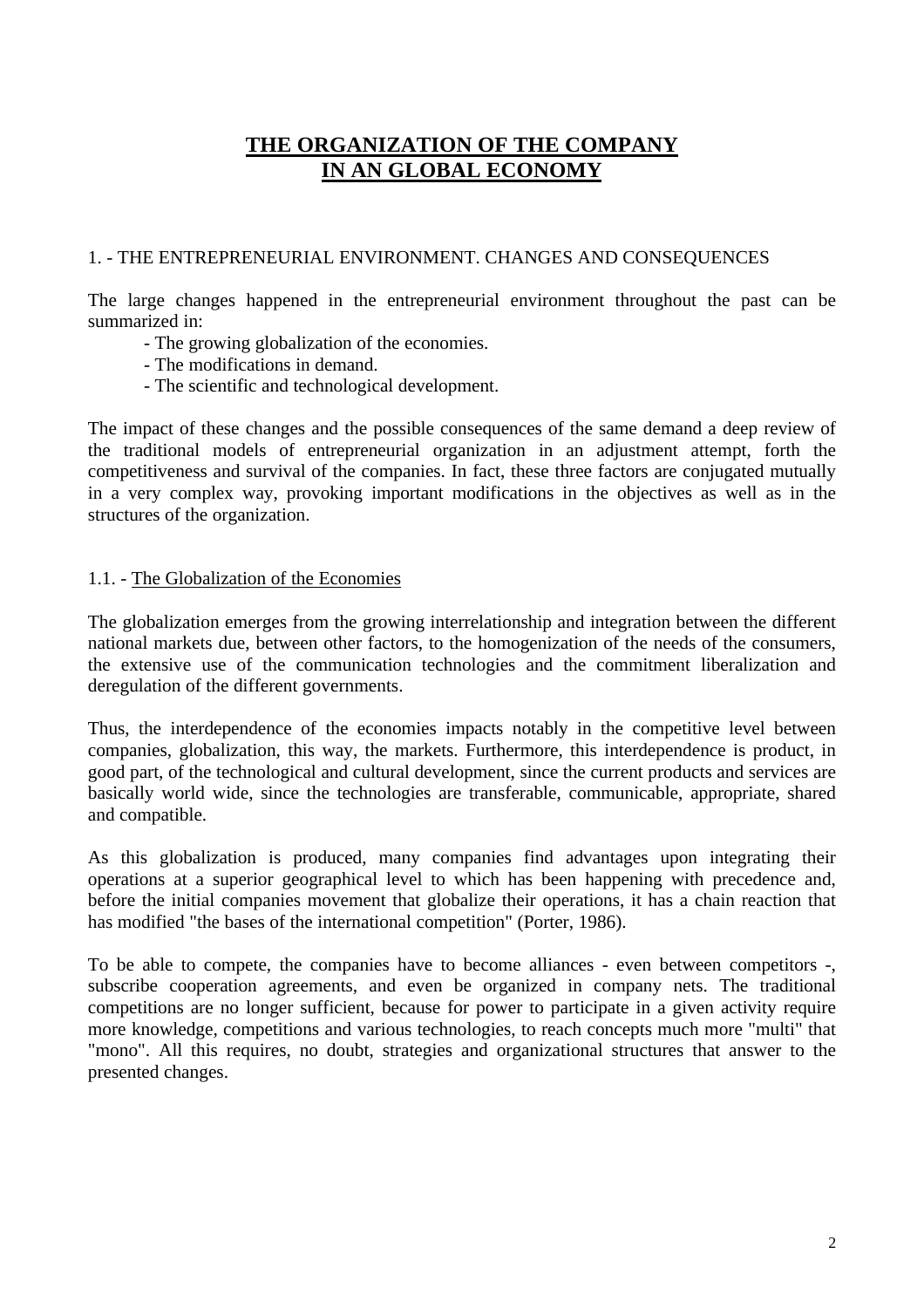# **THE ORGANIZATION OF THE COMPANY IN AN GLOBAL ECONOMY**

## 1. - THE ENTREPRENEURIAL ENVIRONMENT. CHANGES AND CONSEQUENCES

The large changes happened in the entrepreneurial environment throughout the past can be summarized in:

- The growing globalization of the economies.
- The modifications in demand.
- The scientific and technological development.

The impact of these changes and the possible consequences of the same demand a deep review of the traditional models of entrepreneurial organization in an adjustment attempt, forth the competitiveness and survival of the companies. In fact, these three factors are conjugated mutually in a very complex way, provoking important modifications in the objectives as well as in the structures of the organization.

# 1.1. - The Globalization of the Economies

The globalization emerges from the growing interrelationship and integration between the different national markets due, between other factors, to the homogenization of the needs of the consumers, the extensive use of the communication technologies and the commitment liberalization and deregulation of the different governments.

Thus, the interdependence of the economies impacts notably in the competitive level between companies, globalization, this way, the markets. Furthermore, this interdependence is product, in good part, of the technological and cultural development, since the current products and services are basically world wide, since the technologies are transferable, communicable, appropriate, shared and compatible.

As this globalization is produced, many companies find advantages upon integrating their operations at a superior geographical level to which has been happening with precedence and, before the initial companies movement that globalize their operations, it has a chain reaction that has modified "the bases of the international competition" (Porter, 1986).

To be able to compete, the companies have to become alliances - even between competitors -, subscribe cooperation agreements, and even be organized in company nets. The traditional competitions are no longer sufficient, because for power to participate in a given activity require more knowledge, competitions and various technologies, to reach concepts much more "multi" that "mono". All this requires, no doubt, strategies and organizational structures that answer to the presented changes.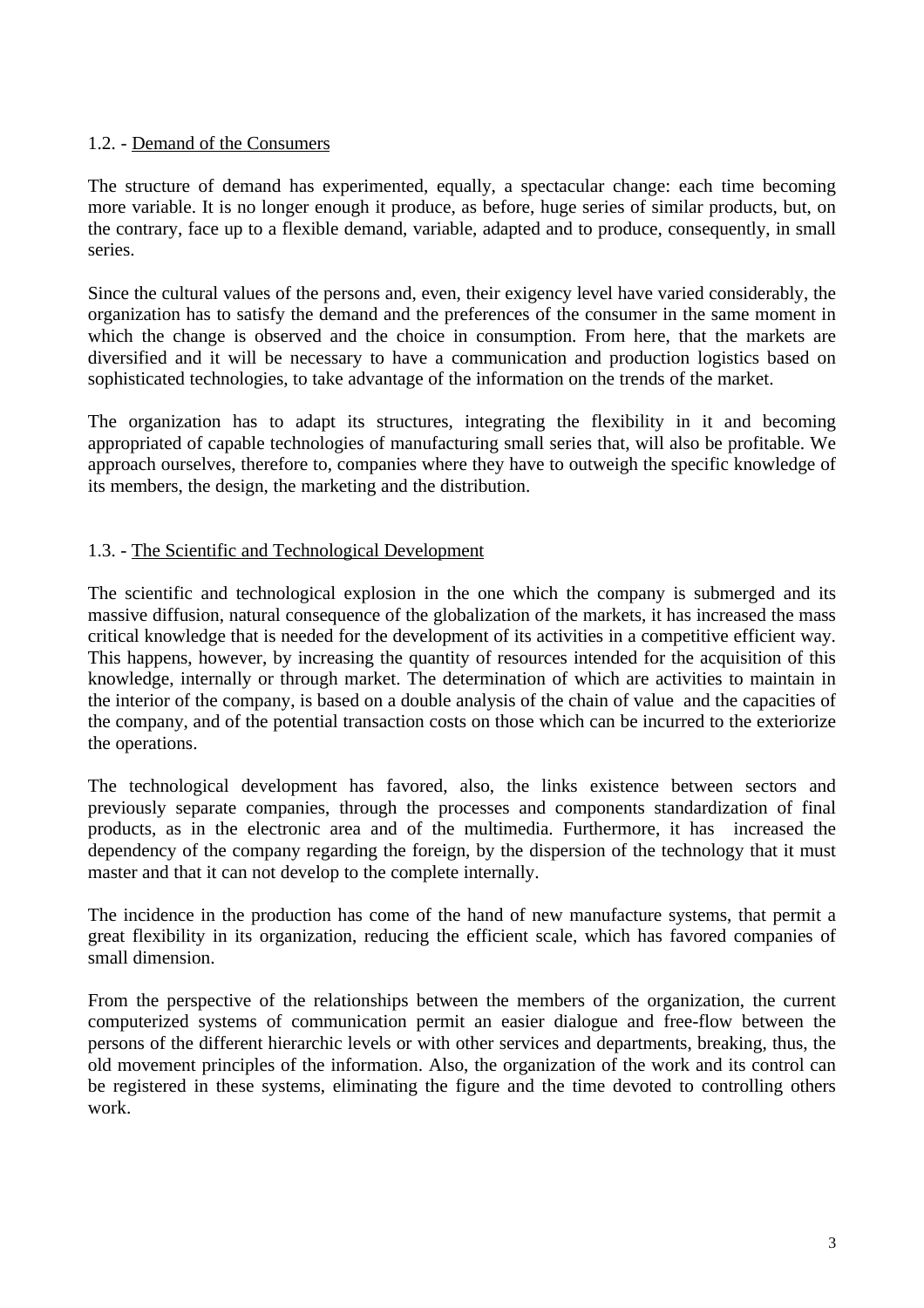#### 1.2. - Demand of the Consumers

The structure of demand has experimented, equally, a spectacular change: each time becoming more variable. It is no longer enough it produce, as before, huge series of similar products, but, on the contrary, face up to a flexible demand, variable, adapted and to produce, consequently, in small series.

Since the cultural values of the persons and, even, their exigency level have varied considerably, the organization has to satisfy the demand and the preferences of the consumer in the same moment in which the change is observed and the choice in consumption. From here, that the markets are diversified and it will be necessary to have a communication and production logistics based on sophisticated technologies, to take advantage of the information on the trends of the market.

The organization has to adapt its structures, integrating the flexibility in it and becoming appropriated of capable technologies of manufacturing small series that, will also be profitable. We approach ourselves, therefore to, companies where they have to outweigh the specific knowledge of its members, the design, the marketing and the distribution.

#### 1.3. - The Scientific and Technological Development

The scientific and technological explosion in the one which the company is submerged and its massive diffusion, natural consequence of the globalization of the markets, it has increased the mass critical knowledge that is needed for the development of its activities in a competitive efficient way. This happens, however, by increasing the quantity of resources intended for the acquisition of this knowledge, internally or through market. The determination of which are activities to maintain in the interior of the company, is based on a double analysis of the chain of value and the capacities of the company, and of the potential transaction costs on those which can be incurred to the exteriorize the operations.

The technological development has favored, also, the links existence between sectors and previously separate companies, through the processes and components standardization of final products, as in the electronic area and of the multimedia. Furthermore, it has increased the dependency of the company regarding the foreign, by the dispersion of the technology that it must master and that it can not develop to the complete internally.

The incidence in the production has come of the hand of new manufacture systems, that permit a great flexibility in its organization, reducing the efficient scale, which has favored companies of small dimension.

From the perspective of the relationships between the members of the organization, the current computerized systems of communication permit an easier dialogue and free-flow between the persons of the different hierarchic levels or with other services and departments, breaking, thus, the old movement principles of the information. Also, the organization of the work and its control can be registered in these systems, eliminating the figure and the time devoted to controlling others work.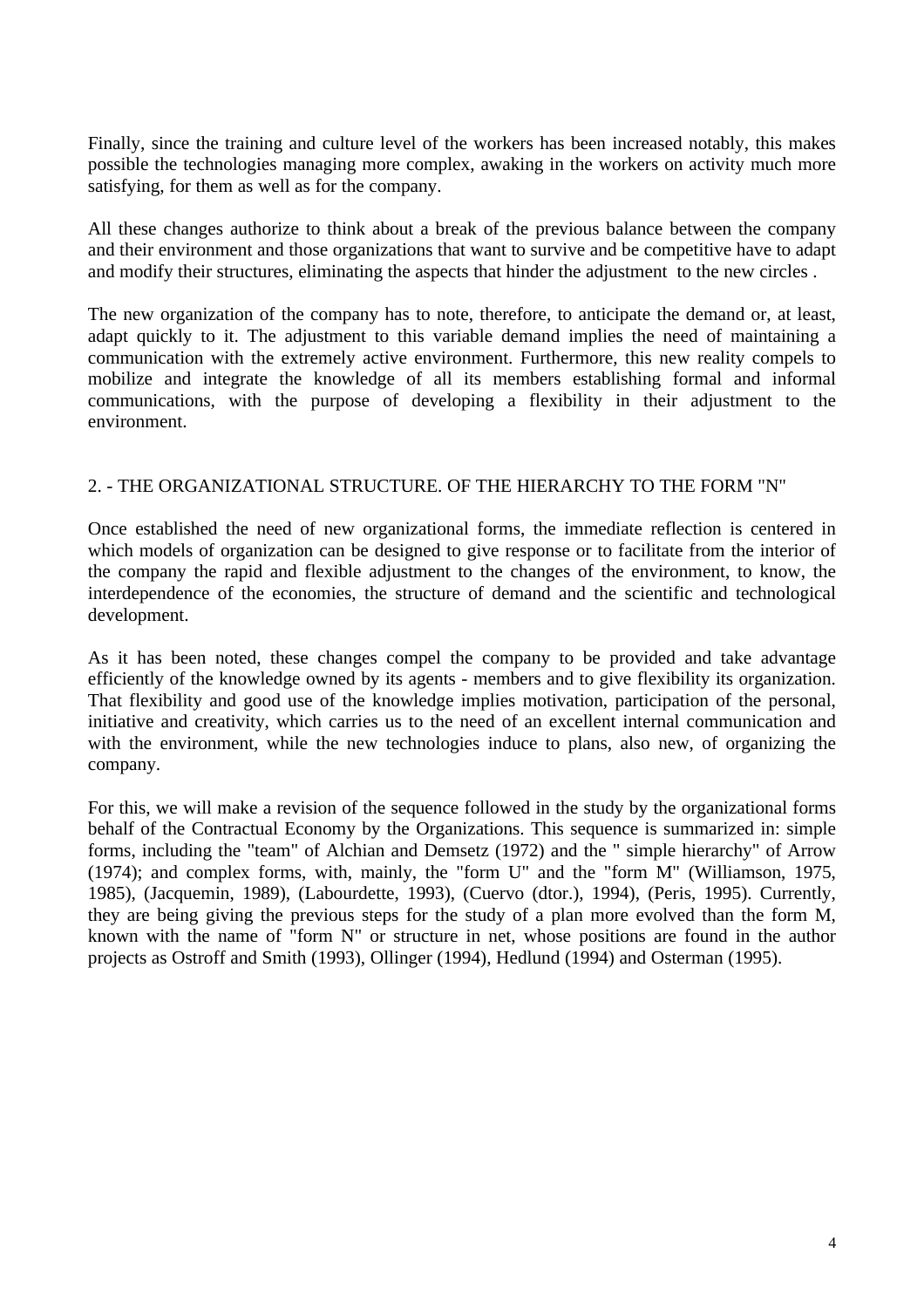Finally, since the training and culture level of the workers has been increased notably, this makes possible the technologies managing more complex, awaking in the workers on activity much more satisfying, for them as well as for the company.

All these changes authorize to think about a break of the previous balance between the company and their environment and those organizations that want to survive and be competitive have to adapt and modify their structures, eliminating the aspects that hinder the adjustment to the new circles .

The new organization of the company has to note, therefore, to anticipate the demand or, at least, adapt quickly to it. The adjustment to this variable demand implies the need of maintaining a communication with the extremely active environment. Furthermore, this new reality compels to mobilize and integrate the knowledge of all its members establishing formal and informal communications, with the purpose of developing a flexibility in their adjustment to the environment.

#### 2. - THE ORGANIZATIONAL STRUCTURE. OF THE HIERARCHY TO THE FORM "N"

Once established the need of new organizational forms, the immediate reflection is centered in which models of organization can be designed to give response or to facilitate from the interior of the company the rapid and flexible adjustment to the changes of the environment, to know, the interdependence of the economies, the structure of demand and the scientific and technological development.

As it has been noted, these changes compel the company to be provided and take advantage efficiently of the knowledge owned by its agents - members and to give flexibility its organization. That flexibility and good use of the knowledge implies motivation, participation of the personal, initiative and creativity, which carries us to the need of an excellent internal communication and with the environment, while the new technologies induce to plans, also new, of organizing the company.

For this, we will make a revision of the sequence followed in the study by the organizational forms behalf of the Contractual Economy by the Organizations. This sequence is summarized in: simple forms, including the "team" of Alchian and Demsetz (1972) and the " simple hierarchy" of Arrow (1974); and complex forms, with, mainly, the "form U" and the "form M" (Williamson, 1975, 1985), (Jacquemin, 1989), (Labourdette, 1993), (Cuervo (dtor.), 1994), (Peris, 1995). Currently, they are being giving the previous steps for the study of a plan more evolved than the form M, known with the name of "form N" or structure in net, whose positions are found in the author projects as Ostroff and Smith (1993), Ollinger (1994), Hedlund (1994) and Osterman (1995).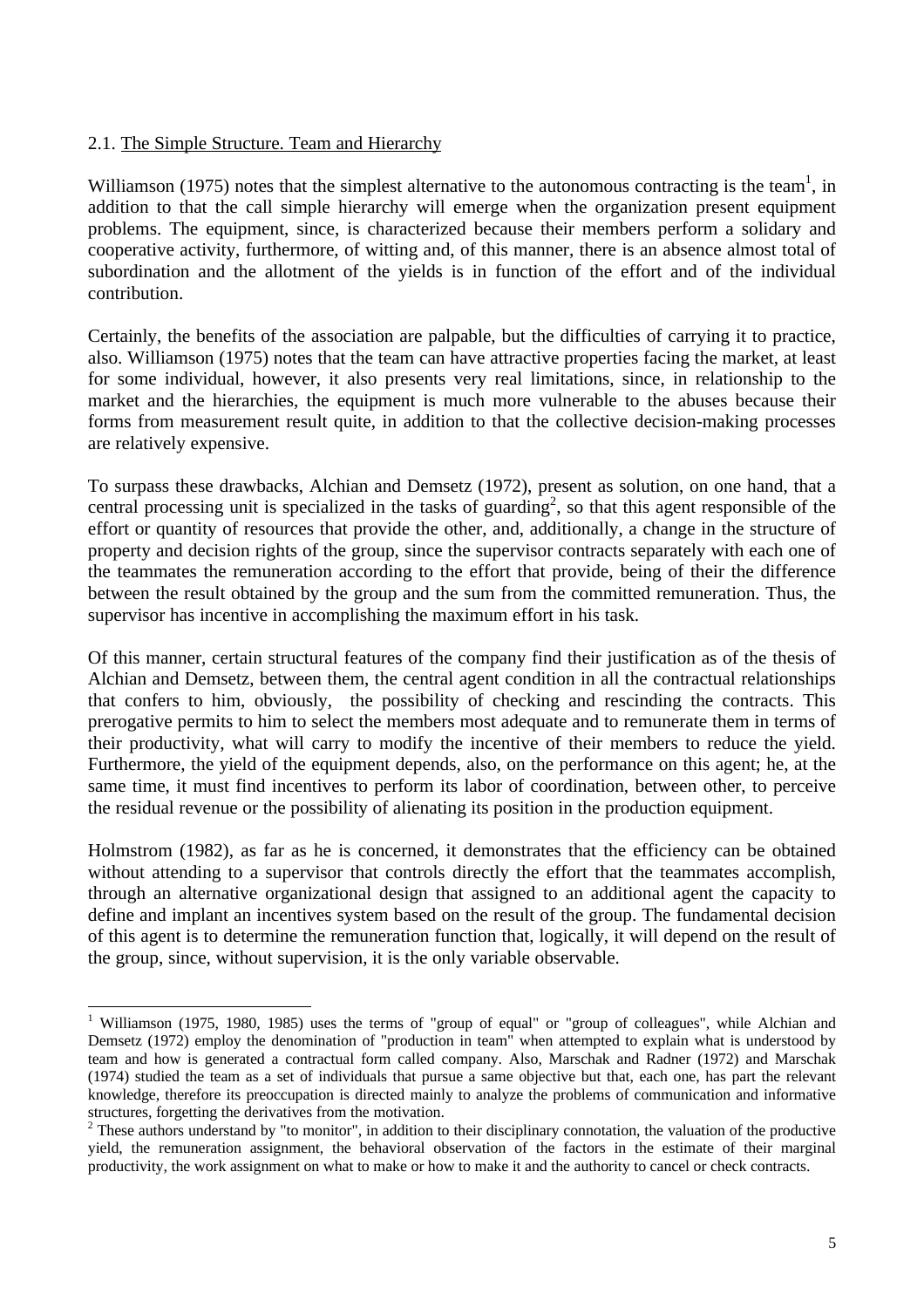#### 2.1. The Simple Structure. Team and Hierarchy

 $\overline{a}$ 

Williamson (1975) notes that the simplest alternative to the autonomous contracting is the team<sup>1</sup>, in addition to that the call simple hierarchy will emerge when the organization present equipment problems. The equipment, since, is characterized because their members perform a solidary and cooperative activity, furthermore, of witting and, of this manner, there is an absence almost total of subordination and the allotment of the yields is in function of the effort and of the individual contribution.

Certainly, the benefits of the association are palpable, but the difficulties of carrying it to practice, also. Williamson (1975) notes that the team can have attractive properties facing the market, at least for some individual, however, it also presents very real limitations, since, in relationship to the market and the hierarchies, the equipment is much more vulnerable to the abuses because their forms from measurement result quite, in addition to that the collective decision-making processes are relatively expensive.

To surpass these drawbacks, Alchian and Demsetz (1972), present as solution, on one hand, that a central processing unit is specialized in the tasks of guarding<sup>2</sup>, so that this agent responsible of the effort or quantity of resources that provide the other, and, additionally, a change in the structure of property and decision rights of the group, since the supervisor contracts separately with each one of the teammates the remuneration according to the effort that provide, being of their the difference between the result obtained by the group and the sum from the committed remuneration. Thus, the supervisor has incentive in accomplishing the maximum effort in his task.

Of this manner, certain structural features of the company find their justification as of the thesis of Alchian and Demsetz, between them, the central agent condition in all the contractual relationships that confers to him, obviously, the possibility of checking and rescinding the contracts. This prerogative permits to him to select the members most adequate and to remunerate them in terms of their productivity, what will carry to modify the incentive of their members to reduce the yield. Furthermore, the yield of the equipment depends, also, on the performance on this agent; he, at the same time, it must find incentives to perform its labor of coordination, between other, to perceive the residual revenue or the possibility of alienating its position in the production equipment.

Holmstrom (1982), as far as he is concerned, it demonstrates that the efficiency can be obtained without attending to a supervisor that controls directly the effort that the teammates accomplish, through an alternative organizational design that assigned to an additional agent the capacity to define and implant an incentives system based on the result of the group. The fundamental decision of this agent is to determine the remuneration function that, logically, it will depend on the result of the group, since, without supervision, it is the only variable observable.

<sup>&</sup>lt;sup>1</sup> Williamson (1975, 1980, 1985) uses the terms of "group of equal" or "group of colleagues", while Alchian and Demsetz (1972) employ the denomination of "production in team" when attempted to explain what is understood by team and how is generated a contractual form called company. Also, Marschak and Radner (1972) and Marschak (1974) studied the team as a set of individuals that pursue a same objective but that, each one, has part the relevant knowledge, therefore its preoccupation is directed mainly to analyze the problems of communication and informative structures, forgetting the derivatives from the motivation.

<sup>&</sup>lt;sup>2</sup> These authors understand by "to monitor", in addition to their disciplinary connotation, the valuation of the productive yield, the remuneration assignment, the behavioral observation of the factors in the estimate of their marginal productivity, the work assignment on what to make or how to make it and the authority to cancel or check contracts.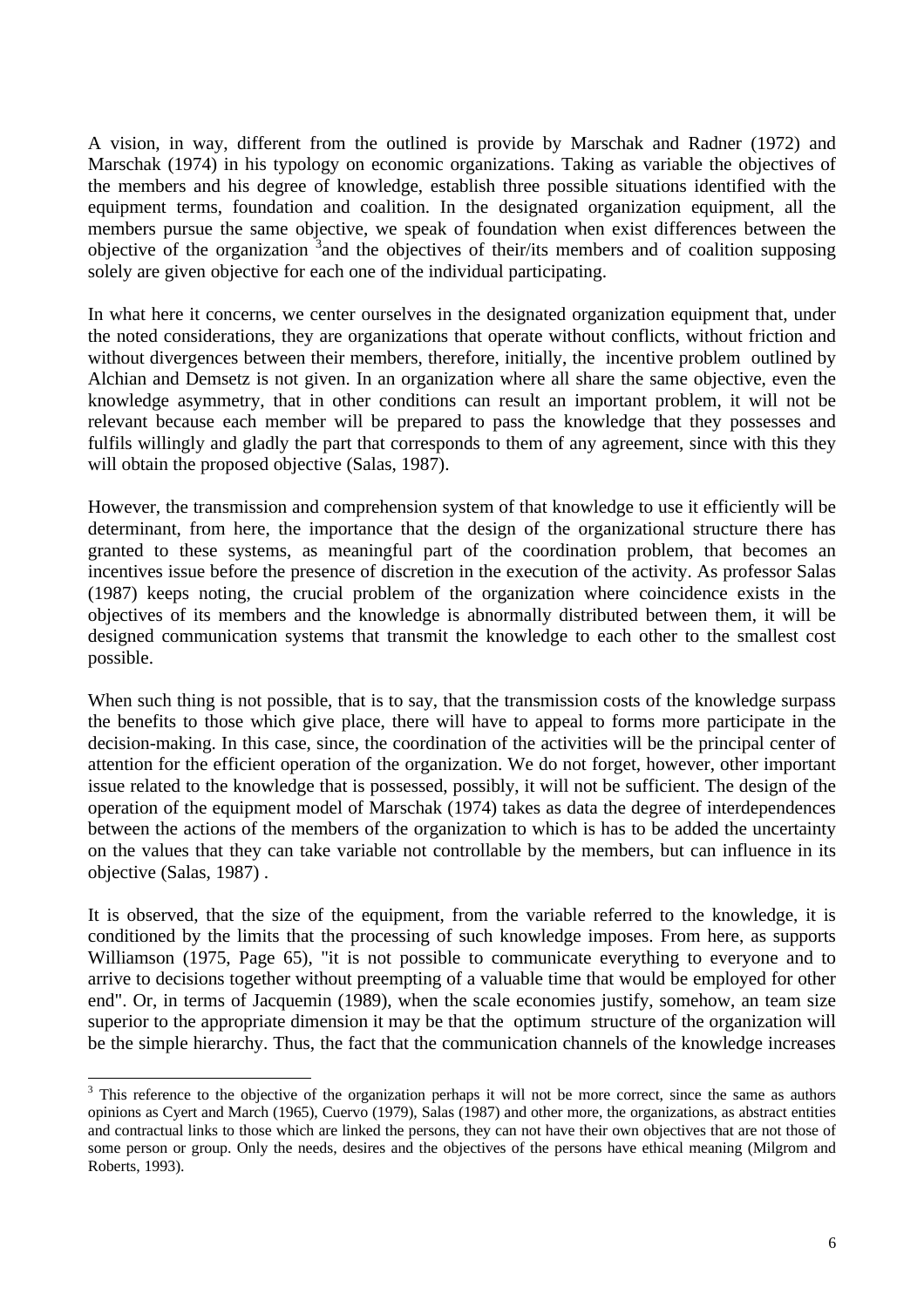A vision, in way, different from the outlined is provide by Marschak and Radner (1972) and Marschak (1974) in his typology on economic organizations. Taking as variable the objectives of the members and his degree of knowledge, establish three possible situations identified with the equipment terms, foundation and coalition. In the designated organization equipment, all the members pursue the same objective, we speak of foundation when exist differences between the objective of the organization <sup>3</sup> and the objectives of their/its members and of coalition supposing solely are given objective for each one of the individual participating.

In what here it concerns, we center ourselves in the designated organization equipment that, under the noted considerations, they are organizations that operate without conflicts, without friction and without divergences between their members, therefore, initially, the incentive problem outlined by Alchian and Demsetz is not given. In an organization where all share the same objective, even the knowledge asymmetry, that in other conditions can result an important problem, it will not be relevant because each member will be prepared to pass the knowledge that they possesses and fulfils willingly and gladly the part that corresponds to them of any agreement, since with this they will obtain the proposed objective (Salas, 1987).

However, the transmission and comprehension system of that knowledge to use it efficiently will be determinant, from here, the importance that the design of the organizational structure there has granted to these systems, as meaningful part of the coordination problem, that becomes an incentives issue before the presence of discretion in the execution of the activity. As professor Salas (1987) keeps noting, the crucial problem of the organization where coincidence exists in the objectives of its members and the knowledge is abnormally distributed between them, it will be designed communication systems that transmit the knowledge to each other to the smallest cost possible.

When such thing is not possible, that is to say, that the transmission costs of the knowledge surpass the benefits to those which give place, there will have to appeal to forms more participate in the decision-making. In this case, since, the coordination of the activities will be the principal center of attention for the efficient operation of the organization. We do not forget, however, other important issue related to the knowledge that is possessed, possibly, it will not be sufficient. The design of the operation of the equipment model of Marschak (1974) takes as data the degree of interdependences between the actions of the members of the organization to which is has to be added the uncertainty on the values that they can take variable not controllable by the members, but can influence in its objective (Salas, 1987) .

It is observed, that the size of the equipment, from the variable referred to the knowledge, it is conditioned by the limits that the processing of such knowledge imposes. From here, as supports Williamson (1975, Page 65), "it is not possible to communicate everything to everyone and to arrive to decisions together without preempting of a valuable time that would be employed for other end". Or, in terms of Jacquemin (1989), when the scale economies justify, somehow, an team size superior to the appropriate dimension it may be that the optimum structure of the organization will be the simple hierarchy. Thus, the fact that the communication channels of the knowledge increases

 $\overline{a}$ 

 $3$  This reference to the objective of the organization perhaps it will not be more correct, since the same as authors opinions as Cyert and March (1965), Cuervo (1979), Salas (1987) and other more, the organizations, as abstract entities and contractual links to those which are linked the persons, they can not have their own objectives that are not those of some person or group. Only the needs, desires and the objectives of the persons have ethical meaning (Milgrom and Roberts, 1993).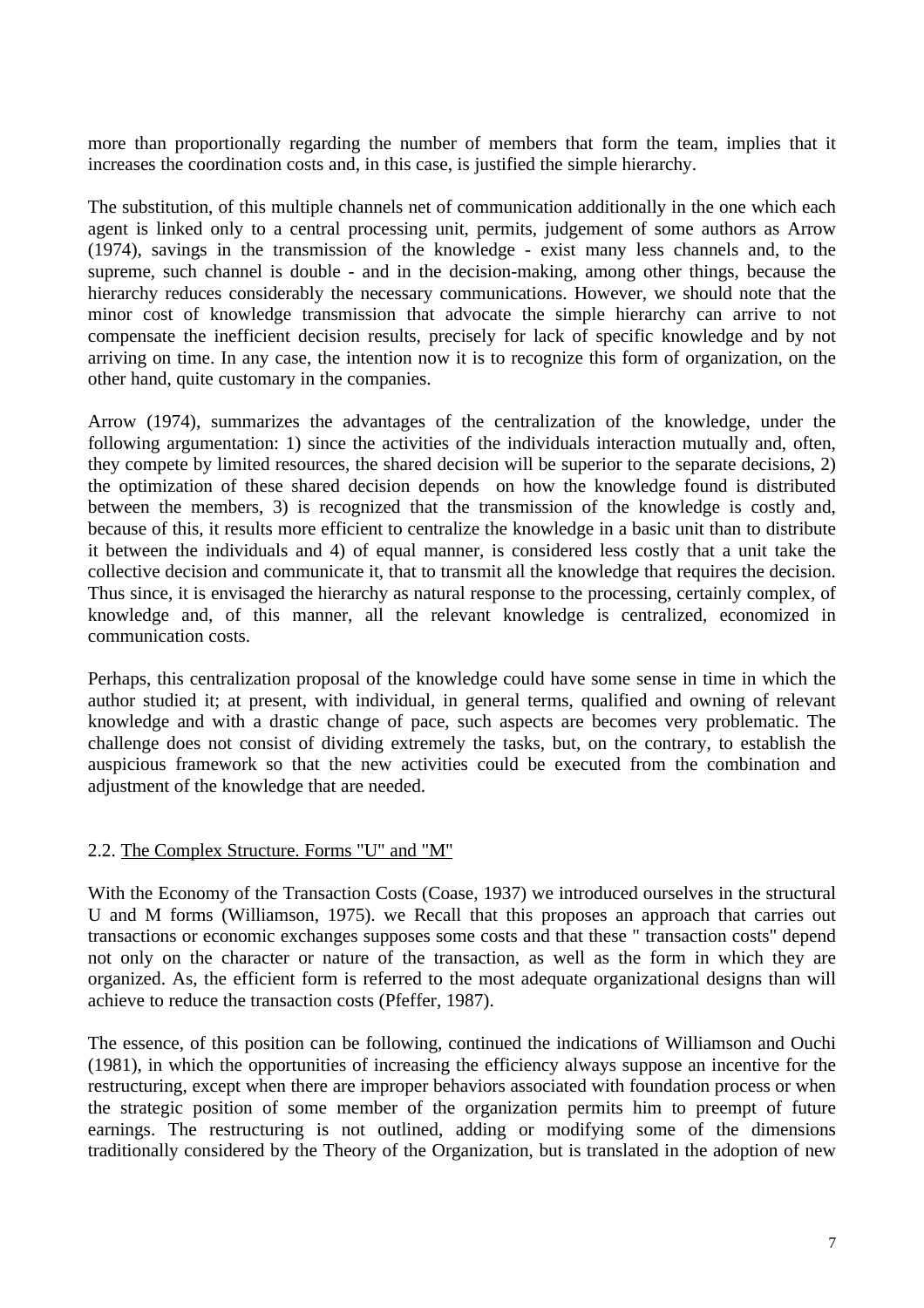more than proportionally regarding the number of members that form the team, implies that it increases the coordination costs and, in this case, is justified the simple hierarchy.

The substitution, of this multiple channels net of communication additionally in the one which each agent is linked only to a central processing unit, permits, judgement of some authors as Arrow (1974), savings in the transmission of the knowledge - exist many less channels and, to the supreme, such channel is double - and in the decision-making, among other things, because the hierarchy reduces considerably the necessary communications. However, we should note that the minor cost of knowledge transmission that advocate the simple hierarchy can arrive to not compensate the inefficient decision results, precisely for lack of specific knowledge and by not arriving on time. In any case, the intention now it is to recognize this form of organization, on the other hand, quite customary in the companies.

Arrow (1974), summarizes the advantages of the centralization of the knowledge, under the following argumentation: 1) since the activities of the individuals interaction mutually and, often, they compete by limited resources, the shared decision will be superior to the separate decisions, 2) the optimization of these shared decision depends on how the knowledge found is distributed between the members, 3) is recognized that the transmission of the knowledge is costly and, because of this, it results more efficient to centralize the knowledge in a basic unit than to distribute it between the individuals and 4) of equal manner, is considered less costly that a unit take the collective decision and communicate it, that to transmit all the knowledge that requires the decision. Thus since, it is envisaged the hierarchy as natural response to the processing, certainly complex, of knowledge and, of this manner, all the relevant knowledge is centralized, economized in communication costs.

Perhaps, this centralization proposal of the knowledge could have some sense in time in which the author studied it; at present, with individual, in general terms, qualified and owning of relevant knowledge and with a drastic change of pace, such aspects are becomes very problematic. The challenge does not consist of dividing extremely the tasks, but, on the contrary, to establish the auspicious framework so that the new activities could be executed from the combination and adjustment of the knowledge that are needed.

## 2.2. The Complex Structure. Forms "U" and "M"

With the Economy of the Transaction Costs (Coase, 1937) we introduced ourselves in the structural U and M forms (Williamson, 1975). we Recall that this proposes an approach that carries out transactions or economic exchanges supposes some costs and that these " transaction costs" depend not only on the character or nature of the transaction, as well as the form in which they are organized. As, the efficient form is referred to the most adequate organizational designs than will achieve to reduce the transaction costs (Pfeffer, 1987).

The essence, of this position can be following, continued the indications of Williamson and Ouchi (1981), in which the opportunities of increasing the efficiency always suppose an incentive for the restructuring, except when there are improper behaviors associated with foundation process or when the strategic position of some member of the organization permits him to preempt of future earnings. The restructuring is not outlined, adding or modifying some of the dimensions traditionally considered by the Theory of the Organization, but is translated in the adoption of new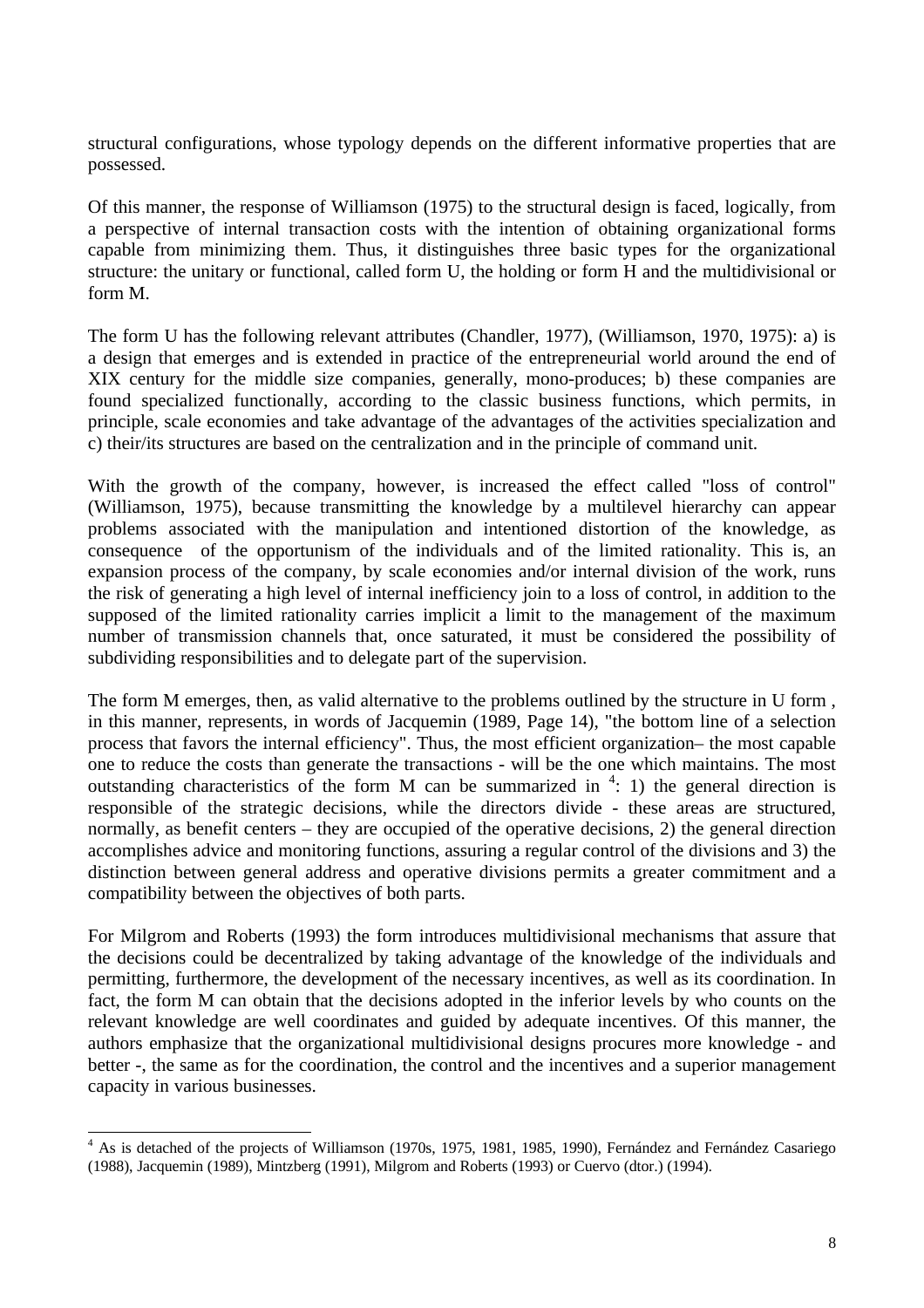structural configurations, whose typology depends on the different informative properties that are possessed.

Of this manner, the response of Williamson (1975) to the structural design is faced, logically, from a perspective of internal transaction costs with the intention of obtaining organizational forms capable from minimizing them. Thus, it distinguishes three basic types for the organizational structure: the unitary or functional, called form U, the holding or form H and the multidivisional or form M.

The form U has the following relevant attributes (Chandler, 1977), (Williamson, 1970, 1975): a) is a design that emerges and is extended in practice of the entrepreneurial world around the end of XIX century for the middle size companies, generally, mono-produces; b) these companies are found specialized functionally, according to the classic business functions, which permits, in principle, scale economies and take advantage of the advantages of the activities specialization and c) their/its structures are based on the centralization and in the principle of command unit.

With the growth of the company, however, is increased the effect called "loss of control" (Williamson, 1975), because transmitting the knowledge by a multilevel hierarchy can appear problems associated with the manipulation and intentioned distortion of the knowledge, as consequence of the opportunism of the individuals and of the limited rationality. This is, an expansion process of the company, by scale economies and/or internal division of the work, runs the risk of generating a high level of internal inefficiency join to a loss of control, in addition to the supposed of the limited rationality carries implicit a limit to the management of the maximum number of transmission channels that, once saturated, it must be considered the possibility of subdividing responsibilities and to delegate part of the supervision.

The form M emerges, then, as valid alternative to the problems outlined by the structure in U form, in this manner, represents, in words of Jacquemin (1989, Page 14), "the bottom line of a selection process that favors the internal efficiency". Thus, the most efficient organization– the most capable one to reduce the costs than generate the transactions - will be the one which maintains. The most outstanding characteristics of the form M can be summarized in  $4: 1$ ) the general direction is responsible of the strategic decisions, while the directors divide - these areas are structured, normally, as benefit centers – they are occupied of the operative decisions, 2) the general direction accomplishes advice and monitoring functions, assuring a regular control of the divisions and 3) the distinction between general address and operative divisions permits a greater commitment and a compatibility between the objectives of both parts.

For Milgrom and Roberts (1993) the form introduces multidivisional mechanisms that assure that the decisions could be decentralized by taking advantage of the knowledge of the individuals and permitting, furthermore, the development of the necessary incentives, as well as its coordination. In fact, the form M can obtain that the decisions adopted in the inferior levels by who counts on the relevant knowledge are well coordinates and guided by adequate incentives. Of this manner, the authors emphasize that the organizational multidivisional designs procures more knowledge - and better -, the same as for the coordination, the control and the incentives and a superior management capacity in various businesses.

 $\overline{a}$ 

<sup>&</sup>lt;sup>4</sup> As is detached of the projects of Williamson (1970s, 1975, 1981, 1985, 1990), Fernández and Fernández Casariego (1988), Jacquemin (1989), Mintzberg (1991), Milgrom and Roberts (1993) or Cuervo (dtor.) (1994).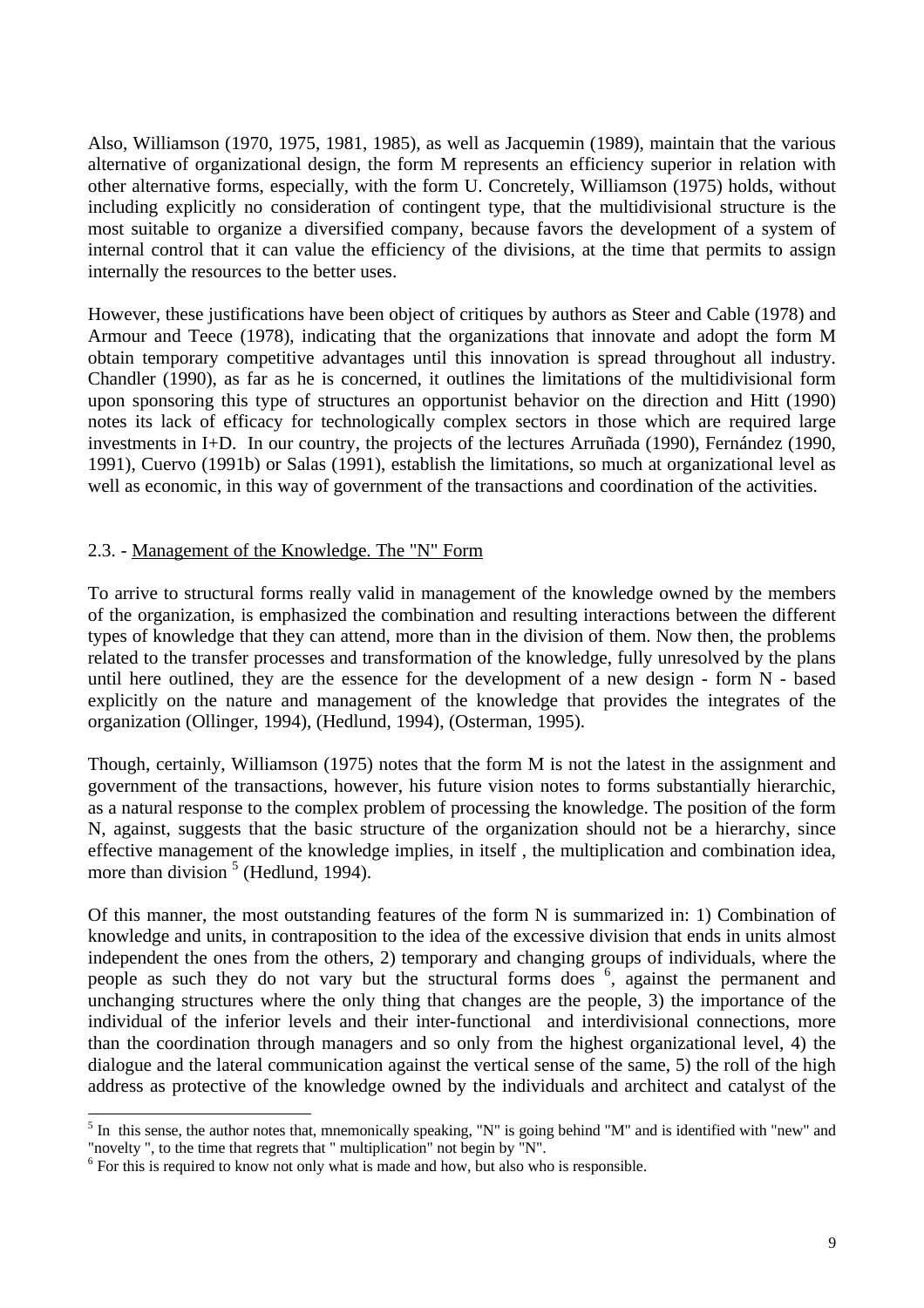Also, Williamson (1970, 1975, 1981, 1985), as well as Jacquemin (1989), maintain that the various alternative of organizational design, the form M represents an efficiency superior in relation with other alternative forms, especially, with the form U. Concretely, Williamson (1975) holds, without including explicitly no consideration of contingent type, that the multidivisional structure is the most suitable to organize a diversified company, because favors the development of a system of internal control that it can value the efficiency of the divisions, at the time that permits to assign internally the resources to the better uses.

However, these justifications have been object of critiques by authors as Steer and Cable (1978) and Armour and Teece (1978), indicating that the organizations that innovate and adopt the form M obtain temporary competitive advantages until this innovation is spread throughout all industry. Chandler (1990), as far as he is concerned, it outlines the limitations of the multidivisional form upon sponsoring this type of structures an opportunist behavior on the direction and Hitt (1990) notes its lack of efficacy for technologically complex sectors in those which are required large investments in I+D. In our country, the projects of the lectures Arruñada (1990), Fernández (1990, 1991), Cuervo (1991b) or Salas (1991), establish the limitations, so much at organizational level as well as economic, in this way of government of the transactions and coordination of the activities.

#### 2.3. - Management of the Knowledge. The "N" Form

To arrive to structural forms really valid in management of the knowledge owned by the members of the organization, is emphasized the combination and resulting interactions between the different types of knowledge that they can attend, more than in the division of them. Now then, the problems related to the transfer processes and transformation of the knowledge, fully unresolved by the plans until here outlined, they are the essence for the development of a new design  $\overline{\phantom{a}}$ -form N - based explicitly on the nature and management of the knowledge that provides the integrates of the organization (Ollinger, 1994), (Hedlund, 1994), (Osterman, 1995).

Though, certainly, Williamson (1975) notes that the form M is not the latest in the assignment and government of the transactions, however, his future vision notes to forms substantially hierarchic, as a natural response to the complex problem of processing the knowledge. The position of the form N, against, suggests that the basic structure of the organization should not be a hierarchy, since effective management of the knowledge implies, in itself , the multiplication and combination idea, more than division  $<sup>5</sup>$  (Hedlund, 1994).</sup>

Of this manner, the most outstanding features of the form N is summarized in: 1) Combination of knowledge and units, in contraposition to the idea of the excessive division that ends in units almost independent the ones from the others, 2) temporary and changing groups of individuals, where the people as such they do not vary but the structural forms does <sup>6</sup>, against the permanent and unchanging structures where the only thing that changes are the people, 3) the importance of the individual of the inferior levels and their inter-functional and interdivisional connections, more than the coordination through managers and so only from the highest organizational level, 4) the dialogue and the lateral communication against the vertical sense of the same, 5) the roll of the high address as protective of the knowledge owned by the individuals and architect and catalyst of the

<sup>&</sup>lt;sup>5</sup> In this sense, the author notes that, mnemonically speaking, "N" is going behind "M" and is identified with "new" and "novelty ", to the time that regrets that " multiplication" not begin by "N".

<sup>&</sup>lt;sup>6</sup> For this is required to know not only what is made and how, but also who is responsible.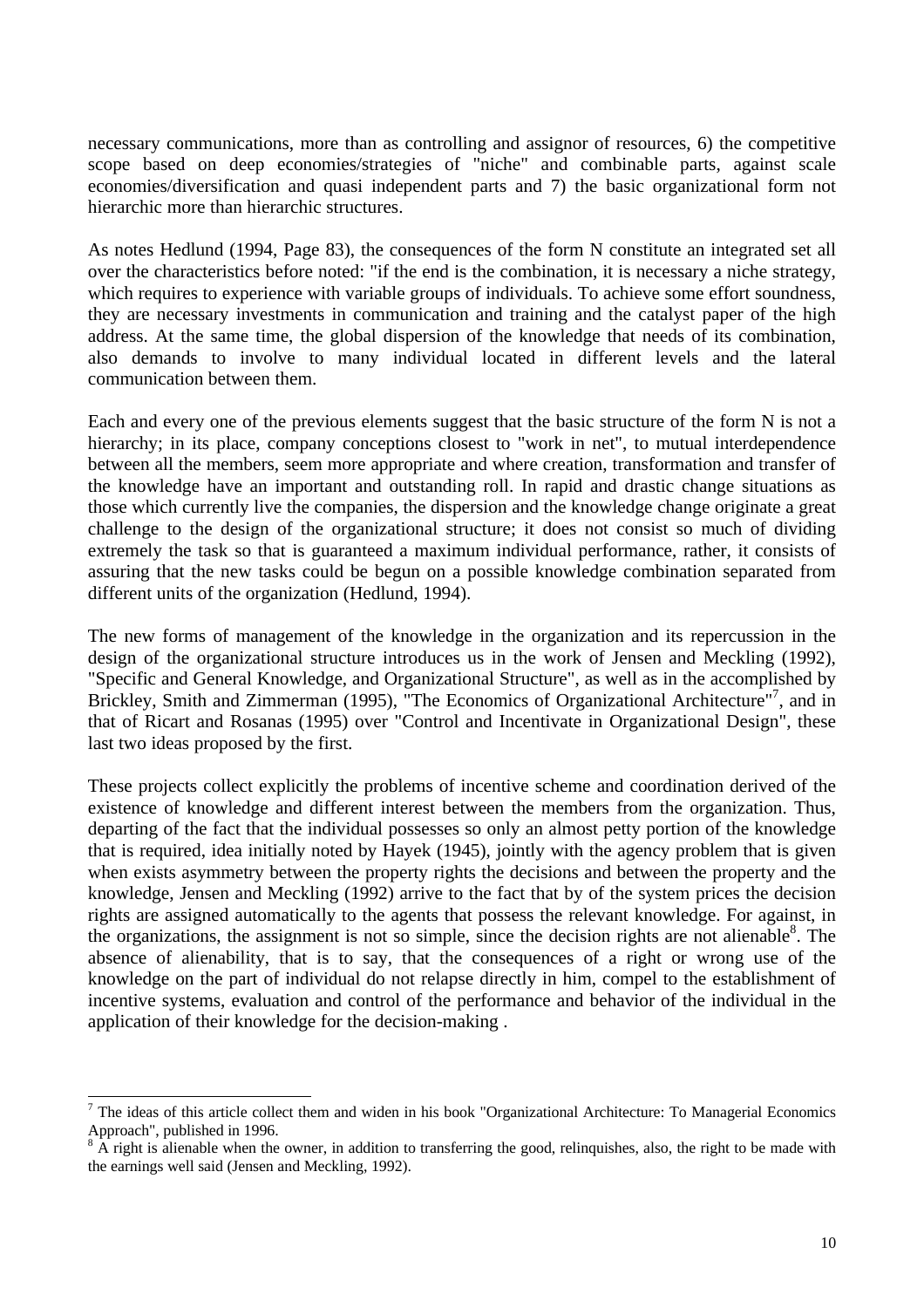necessary communications, more than as controlling and assignor of resources, 6) the competitive scope based on deep economies/strategies of "niche" and combinable parts, against scale economies/diversification and quasi independent parts and 7) the basic organizational form not hierarchic more than hierarchic structures.

As notes Hedlund (1994, Page 83), the consequences of the form N constitute an integrated set all over the characteristics before noted: "if the end is the combination, it is necessary a niche strategy, which requires to experience with variable groups of individuals. To achieve some effort soundness, they are necessary investments in communication and training and the catalyst paper of the high address. At the same time, the global dispersion of the knowledge that needs of its combination, also demands to involve to many individual located in different levels and the lateral communication between them.

Each and every one of the previous elements suggest that the basic structure of the form N is not a hierarchy; in its place, company conceptions closest to "work in net", to mutual interdependence between all the members, seem more appropriate and where creation, transformation and transfer of the knowledge have an important and outstanding roll. In rapid and drastic change situations as those which currently live the companies, the dispersion and the knowledge change originate a great challenge to the design of the organizational structure; it does not consist so much of dividing extremely the task so that is guaranteed a maximum individual performance, rather, it consists of assuring that the new tasks could be begun on a possible knowledge combination separated from different units of the organization (Hedlund, 1994).

The new forms of management of the knowledge in the organization and its repercussion in the design of the organizational structure introduces us in the work of Jensen and Meckling (1992), "Specific and General Knowledge, and Organizational Structure", as well as in the accomplished by Brickley, Smith and Zimmerman (1995), "The Economics of Organizational Architecture"<sup>7</sup>, and in that of Ricart and Rosanas (1995) over "Control and Incentivate in Organizational Design", these last two ideas proposed by the first.

These projects collect explicitly the problems of incentive scheme and coordination derived of the existence of knowledge and different interest between the members from the organization. Thus, departing of the fact that the individual possesses so only an almost petty portion of the knowledge that is required, idea initially noted by Hayek (1945), jointly with the agency problem that is given when exists asymmetry between the property rights the decisions and between the property and the knowledge, Jensen and Meckling (1992) arrive to the fact that by of the system prices the decision rights are assigned automatically to the agents that possess the relevant knowledge. For against, in the organizations, the assignment is not so simple, since the decision rights are not alienable<sup>8</sup>. The absence of alienability, that is to say, that the consequences of a right or wrong use of the knowledge on the part of individual do not relapse directly in him, compel to the establishment of incentive systems, evaluation and control of the performance and behavior of the individual in the application of their knowledge for the decision-making .

 $\overline{a}$  $<sup>7</sup>$  The ideas of this article collect them and widen in his book "Organizational Architecture: To Managerial Economics</sup> Approach", published in 1996.

A right is alienable when the owner, in addition to transferring the good, relinquishes, also, the right to be made with the earnings well said (Jensen and Meckling, 1992).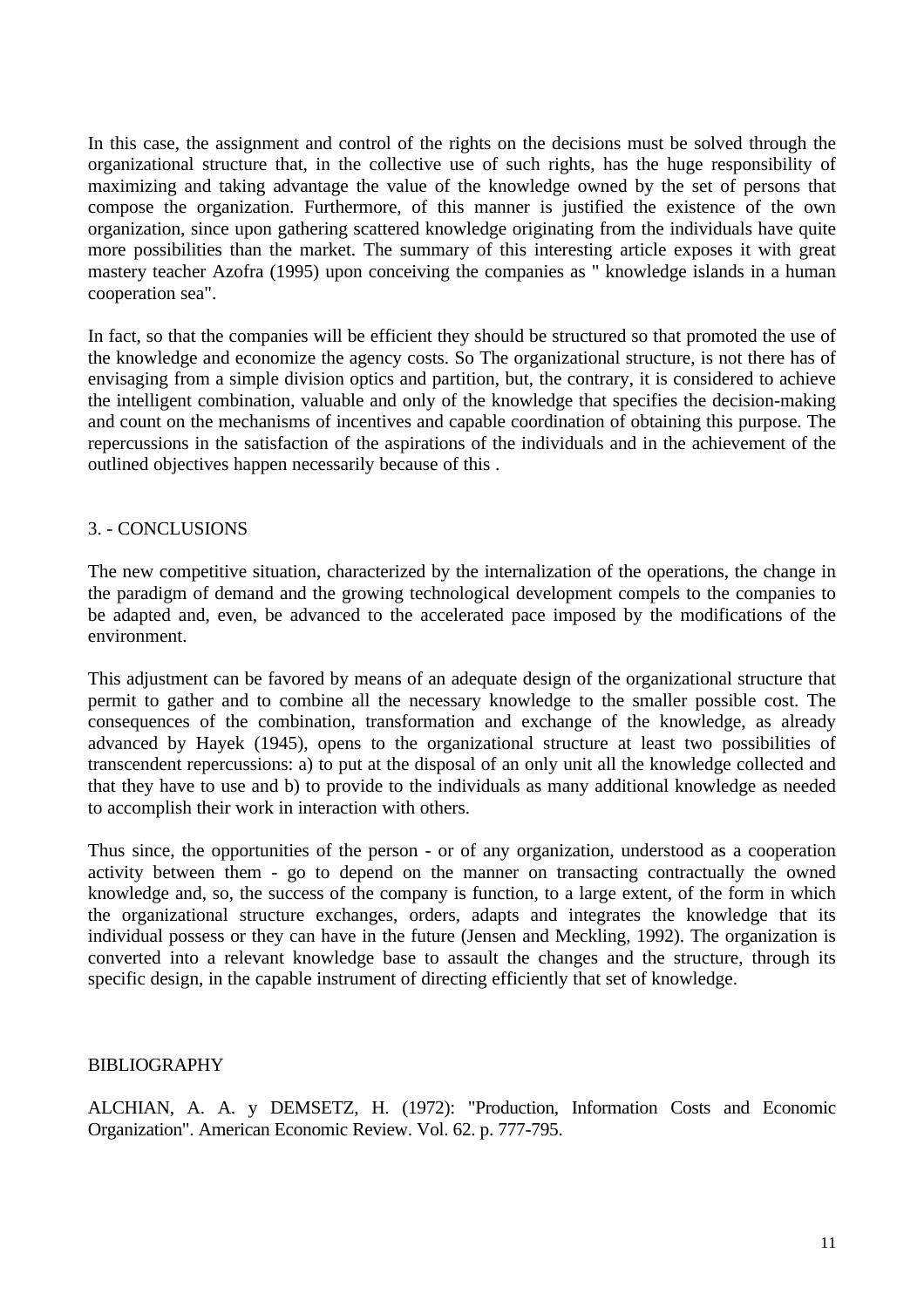In this case, the assignment and control of the rights on the decisions must be solved through the organizational structure that, in the collective use of such rights, has the huge responsibility of maximizing and taking advantage the value of the knowledge owned by the set of persons that compose the organization. Furthermore, of this manner is justified the existence of the own organization, since upon gathering scattered knowledge originating from the individuals have quite more possibilities than the market. The summary of this interesting article exposes it with great mastery teacher Azofra (1995) upon conceiving the companies as " knowledge islands in a human cooperation sea".

In fact, so that the companies will be efficient they should be structured so that promoted the use of the knowledge and economize the agency costs. So The organizational structure, is not there has of envisaging from a simple division optics and partition, but, the contrary, it is considered to achieve the intelligent combination, valuable and only of the knowledge that specifies the decision-making and count on the mechanisms of incentives and capable coordination of obtaining this purpose. The repercussions in the satisfaction of the aspirations of the individuals and in the achievement of the outlined objectives happen necessarily because of this .

#### 3. - CONCLUSIONS

The new competitive situation, characterized by the internalization of the operations, the change in the paradigm of demand and the growing technological development compels to the companies to be adapted and, even, be advanced to the accelerated pace imposed by the modifications of the environment.

This adjustment can be favored by means of an adequate design of the organizational structure that permit to gather and to combine all the necessary knowledge to the smaller possible cost. The consequences of the combination, transformation and exchange of the knowledge, as already advanced by Hayek (1945), opens to the organizational structure at least two possibilities of transcendent repercussions: a) to put at the disposal of an only unit all the knowledge collected and that they have to use and b) to provide to the individuals as many additional knowledge as needed to accomplish their work in interaction with others.

Thus since, the opportunities of the person - or of any organization, understood as a cooperation activity between them - go to depend on the manner on transacting contractually the owned knowledge and, so, the success of the company is function, to a large extent, of the form in which the organizational structure exchanges, orders, adapts and integrates the knowledge that its individual possess or they can have in the future (Jensen and Meckling, 1992). The organization is converted into a relevant knowledge base to assault the changes and the structure, through its specific design, in the capable instrument of directing efficiently that set of knowledge.

#### BIBLIOGRAPHY

ALCHIAN, A. A. y DEMSETZ, H. (1972): "Production, Information Costs and Economic Organization". American Economic Review. Vol. 62. p. 777-795.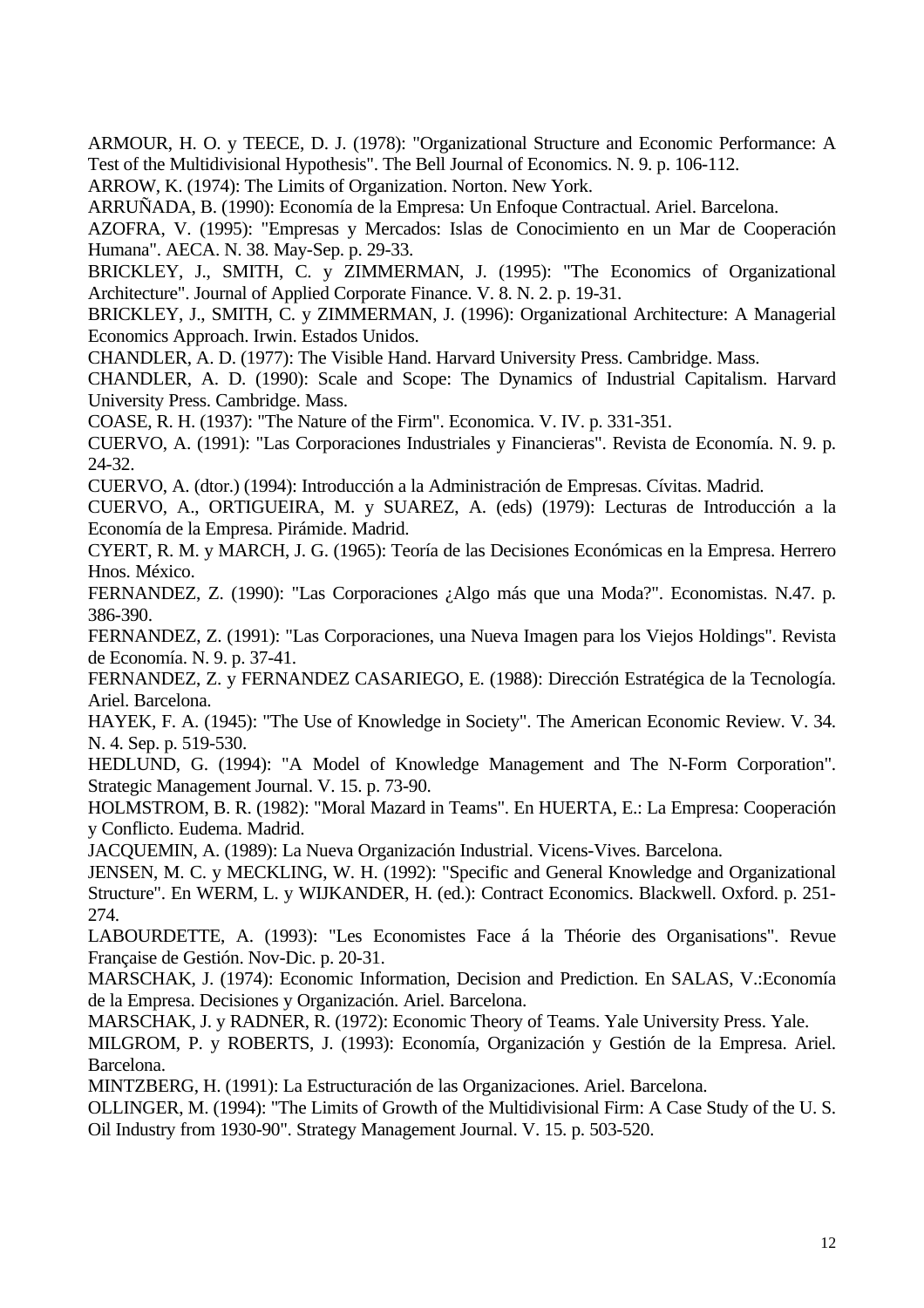ARMOUR, H. O. y TEECE, D. J. (1978): "Organizational Structure and Economic Performance: A Test of the Multidivisional Hypothesis". The Bell Journal of Economics. N. 9. p. 106-112.

ARROW, K. (1974): The Limits of Organization. Norton. New York.

ARRUÑADA, B. (1990): Economía de la Empresa: Un Enfoque Contractual. Ariel. Barcelona.

AZOFRA, V. (1995): "Empresas y Mercados: Islas de Conocimiento en un Mar de Cooperación Humana". AECA. N. 38. May-Sep. p. 29-33.

BRICKLEY, J., SMITH, C. y ZIMMERMAN, J. (1995): "The Economics of Organizational Architecture". Journal of Applied Corporate Finance. V. 8. N. 2. p. 19-31.

BRICKLEY, J., SMITH, C. y ZIMMERMAN, J. (1996): Organizational Architecture: A Managerial Economics Approach. Irwin. Estados Unidos.

CHANDLER, A. D. (1977): The Visible Hand. Harvard University Press. Cambridge. Mass.

CHANDLER, A. D. (1990): Scale and Scope: The Dynamics of Industrial Capitalism. Harvard University Press. Cambridge. Mass.

COASE, R. H. (1937): "The Nature of the Firm". Economica. V. IV. p. 331-351.

CUERVO, A. (1991): "Las Corporaciones Industriales y Financieras". Revista de Economía. N. 9. p. 24-32.

CUERVO, A. (dtor.) (1994): Introducción a la Administración de Empresas. Cívitas. Madrid.

CUERVO, A., ORTIGUEIRA, M. y SUAREZ, A. (eds) (1979): Lecturas de Introducción a la Economía de la Empresa. Pirámide. Madrid.

CYERT, R. M. y MARCH, J. G. (1965): Teoría de las Decisiones Económicas en la Empresa. Herrero Hnos. México.

FERNANDEZ, Z. (1990): "Las Corporaciones ¿Algo más que una Moda?". Economistas. N.47. p. 386-390.

FERNANDEZ, Z. (1991): "Las Corporaciones, una Nueva Imagen para los Viejos Holdings". Revista de Economía. N. 9. p. 37-41.

FERNANDEZ, Z. y FERNANDEZ CASARIEGO, E. (1988): Dirección Estratégica de la Tecnología. Ariel. Barcelona.

HAYEK, F. A. (1945): "The Use of Knowledge in Society". The American Economic Review. V. 34. N. 4. Sep. p. 519-530.

HEDLUND, G. (1994): "A Model of Knowledge Management and The N-Form Corporation". Strategic Management Journal. V. 15. p. 73-90.

HOLMSTROM, B. R. (1982): "Moral Mazard in Teams". En HUERTA, E.: La Empresa: Cooperación y Conflicto. Eudema. Madrid.

JACQUEMIN, A. (1989): La Nueva Organización Industrial. Vicens-Vives. Barcelona.

JENSEN, M. C. y MECKLING, W. H. (1992): "Specific and General Knowledge and Organizational Structure". En WERM, L. y WIJKANDER, H. (ed.): Contract Economics. Blackwell. Oxford. p. 251- 274.

LABOURDETTE, A. (1993): "Les Economistes Face á la Théorie des Organisations". Revue Française de Gestión. Nov-Dic. p. 20-31.

MARSCHAK, J. (1974): Economic Information, Decision and Prediction. En SALAS, V.:Economía de la Empresa. Decisiones y Organización. Ariel. Barcelona.

MARSCHAK, J. y RADNER, R. (1972): Economic Theory of Teams. Yale University Press. Yale.

MILGROM, P. y ROBERTS, J. (1993): Economía, Organización y Gestión de la Empresa. Ariel. Barcelona.

MINTZBERG, H. (1991): La Estructuración de las Organizaciones. Ariel. Barcelona.

OLLINGER, M. (1994): "The Limits of Growth of the Multidivisional Firm: A Case Study of the U. S. Oil Industry from 1930-90". Strategy Management Journal. V. 15. p. 503-520.